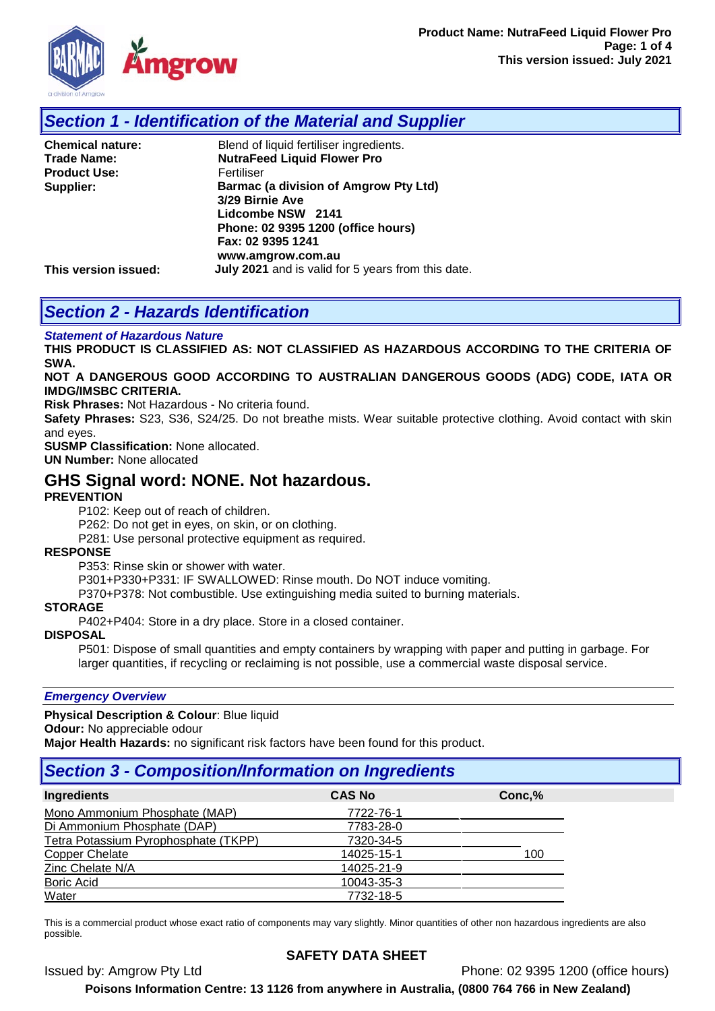

# *Section 1 - Identification of the Material and Supplier*

| <b>Chemical nature:</b> | Blend of liquid fertiliser ingredients.            |
|-------------------------|----------------------------------------------------|
| <b>Trade Name:</b>      | <b>NutraFeed Liquid Flower Pro</b>                 |
| <b>Product Use:</b>     | Fertiliser                                         |
| Supplier:               | Barmac (a division of Amgrow Pty Ltd)              |
|                         | 3/29 Birnie Ave                                    |
|                         | Lidcombe NSW 2141                                  |
|                         | Phone: 02 9395 1200 (office hours)                 |
|                         | Fax: 02 9395 1241                                  |
|                         | www.amgrow.com.au                                  |
| This version issued:    | July 2021 and is valid for 5 years from this date. |

# *Section 2 - Hazards Identification*

#### *Statement of Hazardous Nature*

**THIS PRODUCT IS CLASSIFIED AS: NOT CLASSIFIED AS HAZARDOUS ACCORDING TO THE CRITERIA OF SWA.** 

#### **NOT A DANGEROUS GOOD ACCORDING TO AUSTRALIAN DANGEROUS GOODS (ADG) CODE, IATA OR IMDG/IMSBC CRITERIA.**

**Risk Phrases:** Not Hazardous - No criteria found.

**Safety Phrases:** S23, S36, S24/25. Do not breathe mists. Wear suitable protective clothing. Avoid contact with skin and eyes.

**SUSMP Classification:** None allocated.

**UN Number:** None allocated

## **GHS Signal word: NONE. Not hazardous.**

#### **PREVENTION**

P102: Keep out of reach of children.

P262: Do not get in eyes, on skin, or on clothing.

P281: Use personal protective equipment as required.

#### **RESPONSE**

P353: Rinse skin or shower with water.

P301+P330+P331: IF SWALLOWED: Rinse mouth. Do NOT induce vomiting.

P370+P378: Not combustible. Use extinguishing media suited to burning materials.

#### **STORAGE**

P402+P404: Store in a dry place. Store in a closed container.

### **DISPOSAL**

P501: Dispose of small quantities and empty containers by wrapping with paper and putting in garbage. For larger quantities, if recycling or reclaiming is not possible, use a commercial waste disposal service.

#### *Emergency Overview*

**Physical Description & Colour**: Blue liquid

**Odour:** No appreciable odour

**Major Health Hazards:** no significant risk factors have been found for this product.

## *Section 3 - Composition/Information on Ingredients*

| <b>Ingredients</b>                   | <b>CAS No</b> | Conc, % |
|--------------------------------------|---------------|---------|
| Mono Ammonium Phosphate (MAP)        | 7722-76-1     |         |
| Di Ammonium Phosphate (DAP)          | 7783-28-0     |         |
| Tetra Potassium Pyrophosphate (TKPP) | 7320-34-5     |         |
| <b>Copper Chelate</b>                | 14025-15-1    | 100     |
| Zinc Chelate N/A                     | 14025-21-9    |         |
| <b>Boric Acid</b>                    | 10043-35-3    |         |
| Water                                | 7732-18-5     |         |

This is a commercial product whose exact ratio of components may vary slightly. Minor quantities of other non hazardous ingredients are also possible.

### **SAFETY DATA SHEET**

Issued by: Amgrow Pty Ltd Phone: 02 9395 1200 (office hours)

**Poisons Information Centre: 13 1126 from anywhere in Australia, (0800 764 766 in New Zealand)**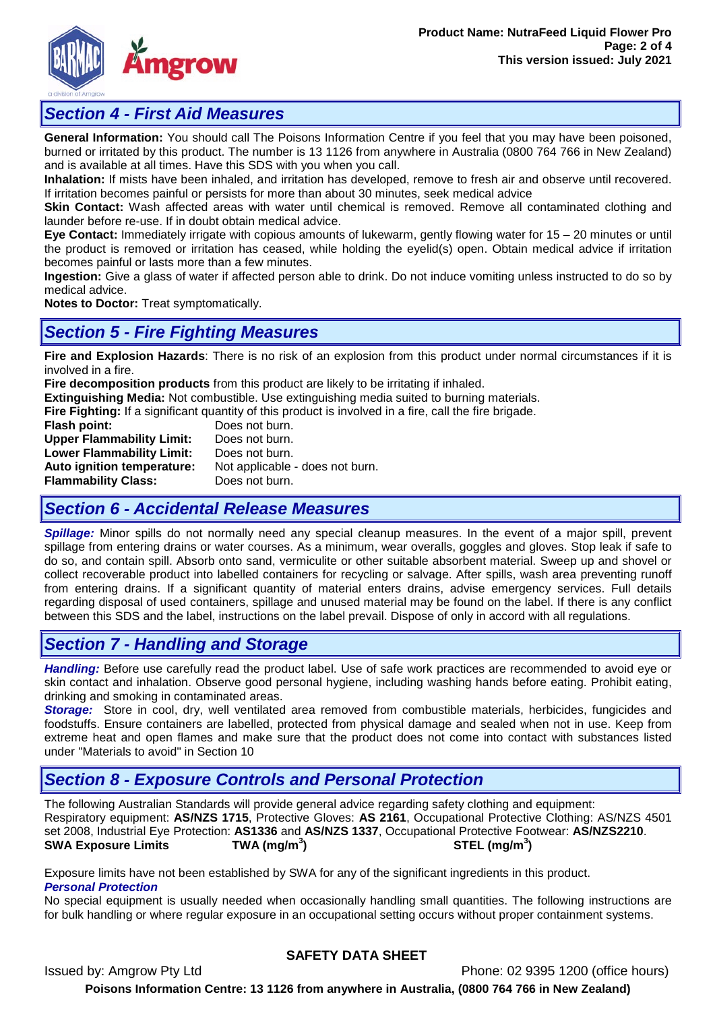

## *Section 4 - First Aid Measures*

**General Information:** You should call The Poisons Information Centre if you feel that you may have been poisoned, burned or irritated by this product. The number is 13 1126 from anywhere in Australia (0800 764 766 in New Zealand) and is available at all times. Have this SDS with you when you call.

**Inhalation:** If mists have been inhaled, and irritation has developed, remove to fresh air and observe until recovered. If irritation becomes painful or persists for more than about 30 minutes, seek medical advice

**Skin Contact:** Wash affected areas with water until chemical is removed. Remove all contaminated clothing and launder before re-use. If in doubt obtain medical advice.

**Eye Contact:** Immediately irrigate with copious amounts of lukewarm, gently flowing water for 15 – 20 minutes or until the product is removed or irritation has ceased, while holding the eyelid(s) open. Obtain medical advice if irritation becomes painful or lasts more than a few minutes.

**Ingestion:** Give a glass of water if affected person able to drink. Do not induce vomiting unless instructed to do so by medical advice.

**Notes to Doctor:** Treat symptomatically.

## *Section 5 - Fire Fighting Measures*

**Fire and Explosion Hazards**: There is no risk of an explosion from this product under normal circumstances if it is involved in a fire.

**Fire decomposition products** from this product are likely to be irritating if inhaled.

**Extinguishing Media:** Not combustible. Use extinguishing media suited to burning materials.

**Fire Fighting:** If a significant quantity of this product is involved in a fire, call the fire brigade.<br>**Flash point:** Does not burn.

**Poes not burn.**<br> **Does not burn. Upper Flammability Limit:** Does not burn.<br> **Lower Flammability Limit:** Does not burn. **Lower Flammability Limit:**<br>Auto ignition temperature: Not applicable - does not burn. **Flammability Class:** Does not burn.

## *Section 6 - Accidental Release Measures*

*Spillage:* Minor spills do not normally need any special cleanup measures. In the event of a major spill, prevent spillage from entering drains or water courses. As a minimum, wear overalls, goggles and gloves. Stop leak if safe to do so, and contain spill. Absorb onto sand, vermiculite or other suitable absorbent material. Sweep up and shovel or collect recoverable product into labelled containers for recycling or salvage. After spills, wash area preventing runoff from entering drains. If a significant quantity of material enters drains, advise emergency services. Full details regarding disposal of used containers, spillage and unused material may be found on the label. If there is any conflict between this SDS and the label, instructions on the label prevail. Dispose of only in accord with all regulations.

## *Section 7 - Handling and Storage*

*Handling:* Before use carefully read the product label. Use of safe work practices are recommended to avoid eye or skin contact and inhalation. Observe good personal hygiene, including washing hands before eating. Prohibit eating, drinking and smoking in contaminated areas.

*Storage:*Store in cool, dry, well ventilated area removed from combustible materials, herbicides, fungicides and foodstuffs. Ensure containers are labelled, protected from physical damage and sealed when not in use. Keep from extreme heat and open flames and make sure that the product does not come into contact with substances listed under "Materials to avoid" in Section 10

# *Section 8 - Exposure Controls and Personal Protection*

The following Australian Standards will provide general advice regarding safety clothing and equipment: Respiratory equipment: **AS/NZS 1715**, Protective Gloves: **AS 2161**, Occupational Protective Clothing: AS/NZS 4501 set 2008, Industrial Eye Protection: **AS1336** and **AS/NZS 1337**, Occupational Protective Footwear: **AS/NZS2210**. **SWA Exposure Limits ) STEL (mg/m<sup>3</sup> )**

Exposure limits have not been established by SWA for any of the significant ingredients in this product. *Personal Protection*

No special equipment is usually needed when occasionally handling small quantities. The following instructions are for bulk handling or where regular exposure in an occupational setting occurs without proper containment systems.

### **SAFETY DATA SHEET**

Issued by: Amgrow Pty Ltd Phone: 02 9395 1200 (office hours) **Poisons Information Centre: 13 1126 from anywhere in Australia, (0800 764 766 in New Zealand)**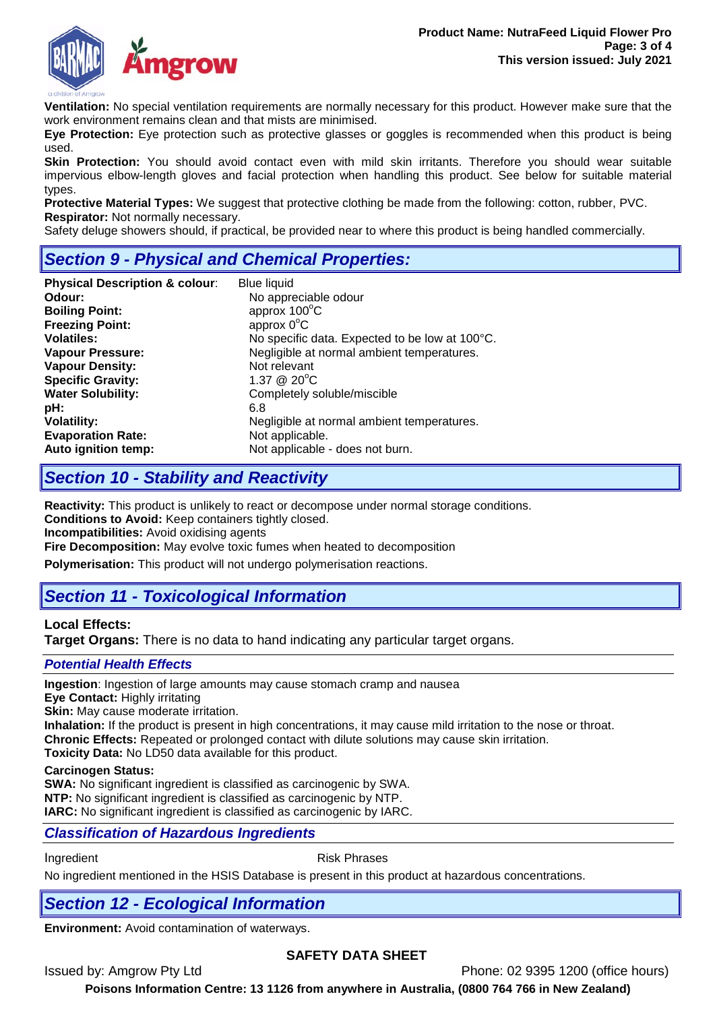

**Ventilation:** No special ventilation requirements are normally necessary for this product. However make sure that the work environment remains clean and that mists are minimised.

**Eye Protection:** Eye protection such as protective glasses or goggles is recommended when this product is being used.

**Skin Protection:** You should avoid contact even with mild skin irritants. Therefore you should wear suitable impervious elbow-length gloves and facial protection when handling this product. See below for suitable material types.

**Protective Material Types:** We suggest that protective clothing be made from the following: cotton, rubber, PVC. **Respirator:** Not normally necessary.

Safety deluge showers should, if practical, be provided near to where this product is being handled commercially.

# *Section 9 - Physical and Chemical Properties:*

| <b>Physical Description &amp; colour:</b> | <b>Blue liquid</b>                             |
|-------------------------------------------|------------------------------------------------|
| Odour:                                    | No appreciable odour                           |
| <b>Boiling Point:</b>                     | approx 100°C                                   |
| <b>Freezing Point:</b>                    | approx $0^{\circ}$ C                           |
| <b>Volatiles:</b>                         | No specific data. Expected to be low at 100°C. |
| <b>Vapour Pressure:</b>                   | Negligible at normal ambient temperatures.     |
| <b>Vapour Density:</b>                    | Not relevant                                   |
| <b>Specific Gravity:</b>                  | 1.37 @ $20^{\circ}$ C                          |
| <b>Water Solubility:</b>                  | Completely soluble/miscible                    |
| pH:                                       | 6.8                                            |
| <b>Volatility:</b>                        | Negligible at normal ambient temperatures.     |
| <b>Evaporation Rate:</b>                  | Not applicable.                                |
| Auto ignition temp:                       | Not applicable - does not burn.                |

## *Section 10 - Stability and Reactivity*

**Reactivity:** This product is unlikely to react or decompose under normal storage conditions. **Conditions to Avoid:** Keep containers tightly closed.

**Incompatibilities:** Avoid oxidising agents

**Fire Decomposition:** May evolve toxic fumes when heated to decomposition

**Polymerisation:** This product will not undergo polymerisation reactions.

# *Section 11 - Toxicological Information*

### **Local Effects:**

**Target Organs:** There is no data to hand indicating any particular target organs.

### *Potential Health Effects*

**Ingestion**: Ingestion of large amounts may cause stomach cramp and nausea

**Eye Contact:** Highly irritating

**Skin:** May cause moderate irritation.

**Inhalation:** If the product is present in high concentrations, it may cause mild irritation to the nose or throat. **Chronic Effects:** Repeated or prolonged contact with dilute solutions may cause skin irritation.

**Toxicity Data:** No LD50 data available for this product.

#### **Carcinogen Status:**

**SWA:** No significant ingredient is classified as carcinogenic by SWA. **NTP:** No significant ingredient is classified as carcinogenic by NTP. **IARC:** No significant ingredient is classified as carcinogenic by IARC.

### *Classification of Hazardous Ingredients*

Ingredient **Risk Phrases** 

No ingredient mentioned in the HSIS Database is present in this product at hazardous concentrations.

# *Section 12 - Ecological Information*

**Environment:** Avoid contamination of waterways.

### **SAFETY DATA SHEET**

Issued by: Amgrow Pty Ltd Phone: 02 9395 1200 (office hours)

**Poisons Information Centre: 13 1126 from anywhere in Australia, (0800 764 766 in New Zealand)**